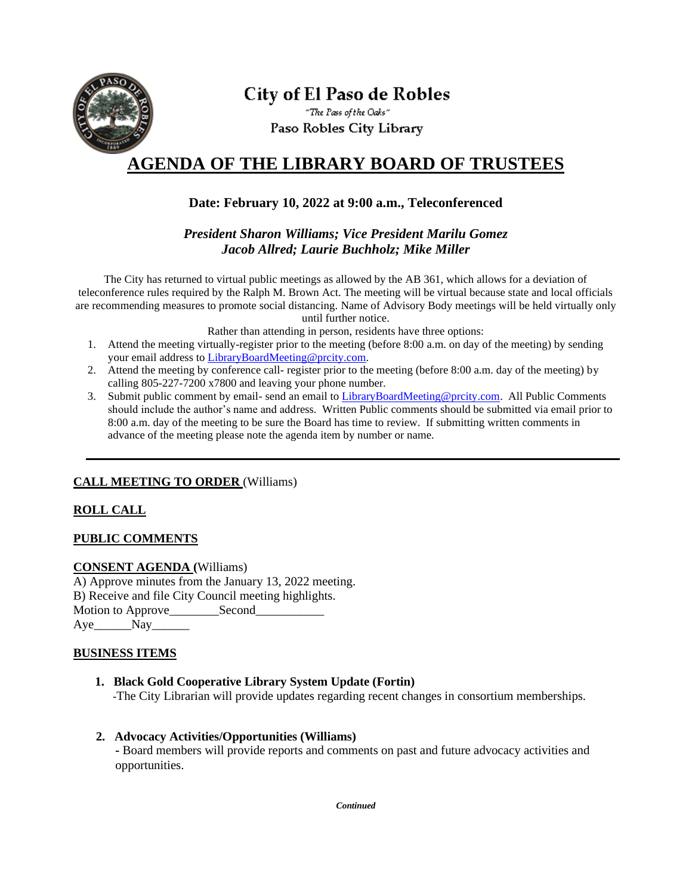

# City of El Paso de Robles

"The Pass of the Oaks" Paso Robles City Library

## **AGENDA OF THE LIBRARY BOARD OF TRUSTEES**

## **Date: February 10, 2022 at 9:00 a.m., Teleconferenced**

*President Sharon Williams; Vice President Marilu Gomez Jacob Allred; Laurie Buchholz; Mike Miller*

The City has returned to virtual public meetings as allowed by the AB 361, which allows for a deviation of teleconference rules required by the Ralph M. Brown Act. The meeting will be virtual because state and local officials are recommending measures to promote social distancing. Name of Advisory Body meetings will be held virtually only until further notice.

Rather than attending in person, residents have three options:

- 1. Attend the meeting virtually-register prior to the meeting (before 8:00 a.m. on day of the meeting) by sending your email address to [LibraryBoardMeeting@prcity.com.](mailto:LibraryBoardMeeting@prcity.com)
- 2. Attend the meeting by conference call- register prior to the meeting (before 8:00 a.m. day of the meeting) by calling 805-227-7200 x7800 and leaving your phone number.
- 3. Submit public comment by email- send an email t[o LibraryBoardMeeting@prcity.com.](mailto:LibraryBoardMeeting@prcity.com) All Public Comments should include the author's name and address. Written Public comments should be submitted via email prior to 8:00 a.m. day of the meeting to be sure the Board has time to review. If submitting written comments in advance of the meeting please note the agenda item by number or name.

## **CALL MEETING TO ORDER** (Williams)

## **ROLL CALL**

#### **PUBLIC COMMENTS**

#### **CONSENT AGENDA (**Williams)

A) Approve minutes from the January 13, 2022 meeting. B) Receive and file City Council meeting highlights. Motion to Approve Second Aye\_\_\_\_\_\_Nay\_\_\_\_\_\_

#### **BUSINESS ITEMS**

- **1. Black Gold Cooperative Library System Update (Fortin)** -The City Librarian will provide updates regarding recent changes in consortium memberships.
- **2. Advocacy Activities/Opportunities (Williams) -** Board members will provide reports and comments on past and future advocacy activities and opportunities.

*Continued*